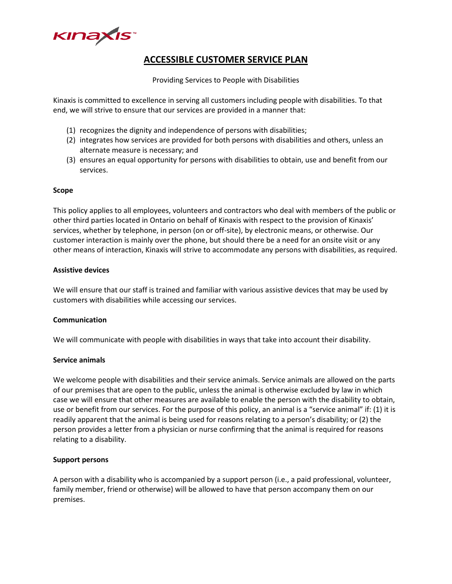

# **ACCESSIBLE CUSTOMER SERVICE PLAN**

Providing Services to People with Disabilities

Kinaxis is committed to excellence in serving all customers including people with disabilities. To that end, we will strive to ensure that our services are provided in a manner that:

- (1) recognizes the dignity and independence of persons with disabilities;
- (2) integrates how services are provided for both persons with disabilities and others, unless an alternate measure is necessary; and
- (3) ensures an equal opportunity for persons with disabilities to obtain, use and benefit from our services.

#### **Scope**

This policy applies to all employees, volunteers and contractors who deal with members of the public or other third parties located in Ontario on behalf of Kinaxis with respect to the provision of Kinaxis' services, whether by telephone, in person (on or off-site), by electronic means, or otherwise. Our customer interaction is mainly over the phone, but should there be a need for an onsite visit or any other means of interaction, Kinaxis will strive to accommodate any persons with disabilities, as required.

#### **Assistive devices**

We will ensure that our staff is trained and familiar with various assistive devices that may be used by customers with disabilities while accessing our services.

#### **Communication**

We will communicate with people with disabilities in ways that take into account their disability.

#### **Service animals**

We welcome people with disabilities and their service animals. Service animals are allowed on the parts of our premises that are open to the public, unless the animal is otherwise excluded by law in which case we will ensure that other measures are available to enable the person with the disability to obtain, use or benefit from our services. For the purpose of this policy, an animal is a "service animal" if: (1) it is readily apparent that the animal is being used for reasons relating to a person's disability; or (2) the person provides a letter from a physician or nurse confirming that the animal is required for reasons relating to a disability.

#### **Support persons**

A person with a disability who is accompanied by a support person (i.e., a paid professional, volunteer, family member, friend or otherwise) will be allowed to have that person accompany them on our premises.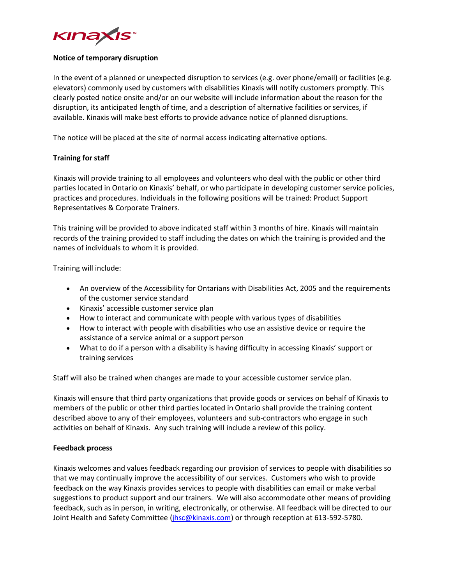

### **Notice of temporary disruption**

In the event of a planned or unexpected disruption to services (e.g. over phone/email) or facilities (e.g. elevators) commonly used by customers with disabilities Kinaxis will notify customers promptly. This clearly posted notice onsite and/or on our website will include information about the reason for the disruption, its anticipated length of time, and a description of alternative facilities or services, if available. Kinaxis will make best efforts to provide advance notice of planned disruptions.

The notice will be placed at the site of normal access indicating alternative options.

## **Training for staff**

Kinaxis will provide training to all employees and volunteers who deal with the public or other third parties located in Ontario on Kinaxis' behalf, or who participate in developing customer service policies, practices and procedures. Individuals in the following positions will be trained: Product Support Representatives & Corporate Trainers.

This training will be provided to above indicated staff within 3 months of hire. Kinaxis will maintain records of the training provided to staff including the dates on which the training is provided and the names of individuals to whom it is provided.

Training will include:

- An overview of the Accessibility for Ontarians with Disabilities Act, 2005 and the requirements of the customer service standard
- Kinaxis' accessible customer service plan
- How to interact and communicate with people with various types of disabilities
- How to interact with people with disabilities who use an assistive device or require the assistance of a service animal or a support person
- What to do if a person with a disability is having difficulty in accessing Kinaxis' support or training services

Staff will also be trained when changes are made to your accessible customer service plan.

Kinaxis will ensure that third party organizations that provide goods or services on behalf of Kinaxis to members of the public or other third parties located in Ontario shall provide the training content described above to any of their employees, volunteers and sub-contractors who engage in such activities on behalf of Kinaxis. Any such training will include a review of this policy.

## **Feedback process**

Kinaxis welcomes and values feedback regarding our provision of services to people with disabilities so that we may continually improve the accessibility of our services. Customers who wish to provide feedback on the way Kinaxis provides services to people with disabilities can email or make verbal suggestions to product support and our trainers. We will also accommodate other means of providing feedback, such as in person, in writing, electronically, or otherwise. All feedback will be directed to our Joint Health and Safety Committee [\(jhsc@kinaxis.com\)](mailto:jhsc@kinaxis.com) or through reception at 613-592-5780.